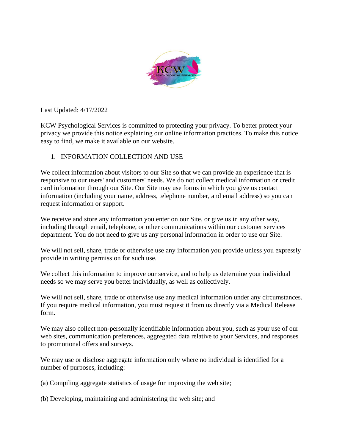

Last Updated: 4/17/2022

KCW Psychological Services is committed to protecting your privacy. To better protect your privacy we provide this notice explaining our online information practices. To make this notice easy to find, we make it available on our website.

# 1. INFORMATION COLLECTION AND USE

We collect information about visitors to our Site so that we can provide an experience that is responsive to our users' and customers' needs. We do not collect medical information or credit card information through our Site. Our Site may use forms in which you give us contact information (including your name, address, telephone number, and email address) so you can request information or support.

We receive and store any information you enter on our Site, or give us in any other way, including through email, telephone, or other communications within our customer services department. You do not need to give us any personal information in order to use our Site.

We will not sell, share, trade or otherwise use any information you provide unless you expressly provide in writing permission for such use.

We collect this information to improve our service, and to help us determine your individual needs so we may serve you better individually, as well as collectively.

We will not sell, share, trade or otherwise use any medical information under any circumstances. If you require medical information, you must request it from us directly via a Medical Release form.

We may also collect non-personally identifiable information about you, such as your use of our web sites, communication preferences, aggregated data relative to your Services, and responses to promotional offers and surveys.

We may use or disclose aggregate information only where no individual is identified for a number of purposes, including:

- (a) Compiling aggregate statistics of usage for improving the web site;
- (b) Developing, maintaining and administering the web site; and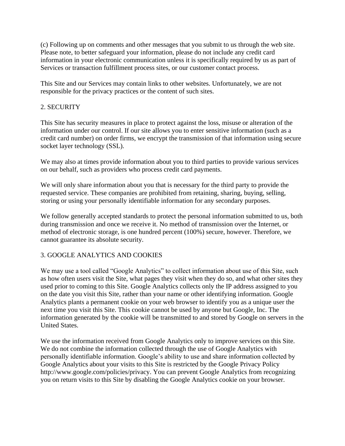(c) Following up on comments and other messages that you submit to us through the web site. Please note, to better safeguard your information, please do not include any credit card information in your electronic communication unless it is specifically required by us as part of Services or transaction fulfillment process sites, or our customer contact process.

This Site and our Services may contain links to other websites. Unfortunately, we are not responsible for the privacy practices or the content of such sites.

## 2. SECURITY

This Site has security measures in place to protect against the loss, misuse or alteration of the information under our control. If our site allows you to enter sensitive information (such as a credit card number) on order firms, we encrypt the transmission of that information using secure socket layer technology (SSL).

We may also at times provide information about you to third parties to provide various services on our behalf, such as providers who process credit card payments.

We will only share information about you that is necessary for the third party to provide the requested service. These companies are prohibited from retaining, sharing, buying, selling, storing or using your personally identifiable information for any secondary purposes.

We follow generally accepted standards to protect the personal information submitted to us, both during transmission and once we receive it. No method of transmission over the Internet, or method of electronic storage, is one hundred percent (100%) secure, however. Therefore, we cannot guarantee its absolute security.

## 3. GOOGLE ANALYTICS AND COOKIES

We may use a tool called "Google Analytics" to collect information about use of this Site, such as how often users visit the Site, what pages they visit when they do so, and what other sites they used prior to coming to this Site. Google Analytics collects only the IP address assigned to you on the date you visit this Site, rather than your name or other identifying information. Google Analytics plants a permanent cookie on your web browser to identify you as a unique user the next time you visit this Site. This cookie cannot be used by anyone but Google, Inc. The information generated by the cookie will be transmitted to and stored by Google on servers in the United States.

We use the information received from Google Analytics only to improve services on this Site. We do not combine the information collected through the use of Google Analytics with personally identifiable information. Google's ability to use and share information collected by Google Analytics about your visits to this Site is restricted by the Google Privacy Policy http://www.google.com/policies/privacy. You can prevent Google Analytics from recognizing you on return visits to this Site by disabling the Google Analytics cookie on your browser.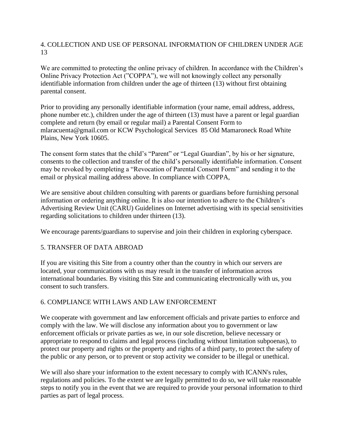## 4. COLLECTION AND USE OF PERSONAL INFORMATION OF CHILDREN UNDER AGE 13

We are committed to protecting the online privacy of children. In accordance with the Children's Online Privacy Protection Act ("COPPA"), we will not knowingly collect any personally identifiable information from children under the age of thirteen (13) without first obtaining parental consent.

Prior to providing any personally identifiable information (your name, email address, address, phone number etc.), children under the age of thirteen (13) must have a parent or legal guardian complete and return (by email or regular mail) a Parental Consent Form to mlaracuenta@gmail.com or KCW Psychological Services 85 Old Mamaroneck Road White Plains, New York 10605.

The consent form states that the child's "Parent" or "Legal Guardian", by his or her signature, consents to the collection and transfer of the child's personally identifiable information. Consent may be revoked by completing a "Revocation of Parental Consent Form" and sending it to the email or physical mailing address above. In compliance with COPPA,

We are sensitive about children consulting with parents or guardians before furnishing personal information or ordering anything online. It is also our intention to adhere to the Children's Advertising Review Unit (CARU) Guidelines on Internet advertising with its special sensitivities regarding solicitations to children under thirteen (13).

We encourage parents/guardians to supervise and join their children in exploring cyberspace.

## 5. TRANSFER OF DATA ABROAD

If you are visiting this Site from a country other than the country in which our servers are located, your communications with us may result in the transfer of information across international boundaries. By visiting this Site and communicating electronically with us, you consent to such transfers.

## 6. COMPLIANCE WITH LAWS AND LAW ENFORCEMENT

We cooperate with government and law enforcement officials and private parties to enforce and comply with the law. We will disclose any information about you to government or law enforcement officials or private parties as we, in our sole discretion, believe necessary or appropriate to respond to claims and legal process (including without limitation subpoenas), to protect our property and rights or the property and rights of a third party, to protect the safety of the public or any person, or to prevent or stop activity we consider to be illegal or unethical.

We will also share your information to the extent necessary to comply with ICANN's rules, regulations and policies. To the extent we are legally permitted to do so, we will take reasonable steps to notify you in the event that we are required to provide your personal information to third parties as part of legal process.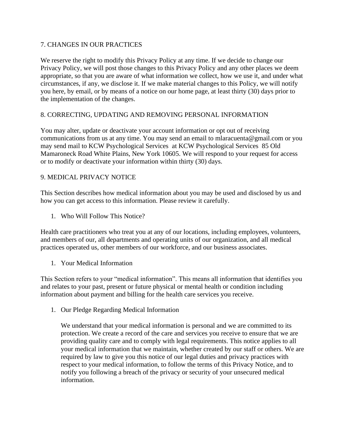## 7. CHANGES IN OUR PRACTICES

We reserve the right to modify this Privacy Policy at any time. If we decide to change our Privacy Policy, we will post those changes to this Privacy Policy and any other places we deem appropriate, so that you are aware of what information we collect, how we use it, and under what circumstances, if any, we disclose it. If we make material changes to this Policy, we will notify you here, by email, or by means of a notice on our home page, at least thirty (30) days prior to the implementation of the changes.

# 8. CORRECTING, UPDATING AND REMOVING PERSONAL INFORMATION

You may alter, update or deactivate your account information or opt out of receiving communications from us at any time. You may send an email to mlaracuenta@gmail.com or you may send mail to KCW Psychological Services at KCW Psychological Services 85 Old Mamaroneck Road White Plains, New York 10605. We will respond to your request for access or to modify or deactivate your information within thirty (30) days.

# 9. MEDICAL PRIVACY NOTICE

This Section describes how medical information about you may be used and disclosed by us and how you can get access to this information. Please review it carefully.

1. Who Will Follow This Notice?

Health care practitioners who treat you at any of our locations, including employees, volunteers, and members of our, all departments and operating units of our organization, and all medical practices operated us, other members of our workforce, and our business associates.

1. Your Medical Information

This Section refers to your "medical information". This means all information that identifies you and relates to your past, present or future physical or mental health or condition including information about payment and billing for the health care services you receive.

1. Our Pledge Regarding Medical Information

We understand that your medical information is personal and we are committed to its protection. We create a record of the care and services you receive to ensure that we are providing quality care and to comply with legal requirements. This notice applies to all your medical information that we maintain, whether created by our staff or others. We are required by law to give you this notice of our legal duties and privacy practices with respect to your medical information, to follow the terms of this Privacy Notice, and to notify you following a breach of the privacy or security of your unsecured medical information.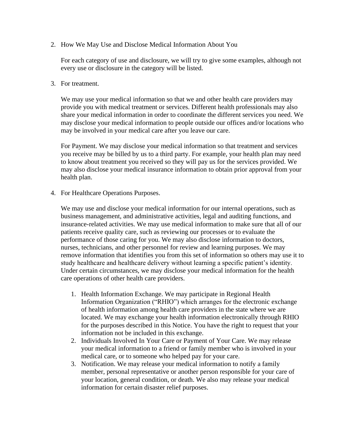2. How We May Use and Disclose Medical Information About You

For each category of use and disclosure, we will try to give some examples, although not every use or disclosure in the category will be listed.

3. For treatment.

We may use your medical information so that we and other health care providers may provide you with medical treatment or services. Different health professionals may also share your medical information in order to coordinate the different services you need. We may disclose your medical information to people outside our offices and/or locations who may be involved in your medical care after you leave our care.

For Payment. We may disclose your medical information so that treatment and services you receive may be billed by us to a third party. For example, your health plan may need to know about treatment you received so they will pay us for the services provided. We may also disclose your medical insurance information to obtain prior approval from your health plan.

4. For Healthcare Operations Purposes.

We may use and disclose your medical information for our internal operations, such as business management, and administrative activities, legal and auditing functions, and insurance-related activities. We may use medical information to make sure that all of our patients receive quality care, such as reviewing our processes or to evaluate the performance of those caring for you. We may also disclose information to doctors, nurses, technicians, and other personnel for review and learning purposes. We may remove information that identifies you from this set of information so others may use it to study healthcare and healthcare delivery without learning a specific patient's identity. Under certain circumstances, we may disclose your medical information for the health care operations of other health care providers.

- 1. Health Information Exchange. We may participate in Regional Health Information Organization ("RHIO") which arranges for the electronic exchange of health information among health care providers in the state where we are located. We may exchange your health information electronically through RHIO for the purposes described in this Notice. You have the right to request that your information not be included in this exchange.
- 2. Individuals Involved In Your Care or Payment of Your Care. We may release your medical information to a friend or family member who is involved in your medical care, or to someone who helped pay for your care.
- 3. Notification. We may release your medical information to notify a family member, personal representative or another person responsible for your care of your location, general condition, or death. We also may release your medical information for certain disaster relief purposes.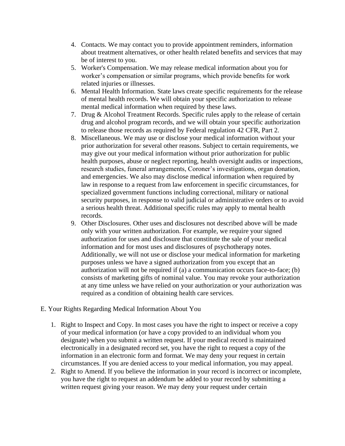- 4. Contacts. We may contact you to provide appointment reminders, information about treatment alternatives, or other health related benefits and services that may be of interest to you.
- 5. Worker's Compensation. We may release medical information about you for worker's compensation or similar programs, which provide benefits for work related injuries or illnesses.
- 6. Mental Health Information. State laws create specific requirements for the release of mental health records. We will obtain your specific authorization to release mental medical information when required by these laws.
- 7. Drug & Alcohol Treatment Records. Specific rules apply to the release of certain drug and alcohol program records, and we will obtain your specific authorization to release those records as required by Federal regulation 42 CFR, Part 2.
- 8. Miscellaneous. We may use or disclose your medical information without your prior authorization for several other reasons. Subject to certain requirements, we may give out your medical information without prior authorization for public health purposes, abuse or neglect reporting, health oversight audits or inspections, research studies, funeral arrangements, Coroner's investigations, organ donation, and emergencies. We also may disclose medical information when required by law in response to a request from law enforcement in specific circumstances, for specialized government functions including correctional, military or national security purposes, in response to valid judicial or administrative orders or to avoid a serious health threat. Additional specific rules may apply to mental health records.
- 9. Other Disclosures. Other uses and disclosures not described above will be made only with your written authorization. For example, we require your signed authorization for uses and disclosure that constitute the sale of your medical information and for most uses and disclosures of psychotherapy notes. Additionally, we will not use or disclose your medical information for marketing purposes unless we have a signed authorization from you except that an authorization will not be required if (a) a communication occurs face-to-face; (b) consists of marketing gifts of nominal value. You may revoke your authorization at any time unless we have relied on your authorization or your authorization was required as a condition of obtaining health care services.

#### E. Your Rights Regarding Medical Information About You

- 1. Right to Inspect and Copy. In most cases you have the right to inspect or receive a copy of your medical information (or have a copy provided to an individual whom you designate) when you submit a written request. If your medical record is maintained electronically in a designated record set, you have the right to request a copy of the information in an electronic form and format. We may deny your request in certain circumstances. If you are denied access to your medical information, you may appeal.
- 2. Right to Amend. If you believe the information in your record is incorrect or incomplete, you have the right to request an addendum be added to your record by submitting a written request giving your reason. We may deny your request under certain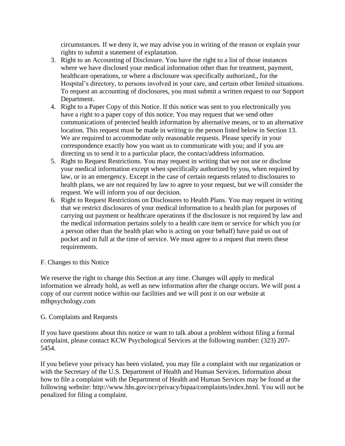circumstances. If we deny it, we may advise you in writing of the reason or explain your rights to submit a statement of explanation.

- 3. Right to an Accounting of Disclosure. You have the right to a list of those instances where we have disclosed your medical information other than for treatment, payment, healthcare operations, or where a disclosure was specifically authorized., for the Hospital's directory, to persons involved in your care, and certain other limited situations. To request an accounting of disclosures, you must submit a written request to our Support Department.
- 4. Right to a Paper Copy of this Notice. If this notice was sent to you electronically you have a right to a paper copy of this notice. You may request that we send other communications of protected health information by alternative means, or to an alternative location. This request must be made in writing to the person listed below in Section 13. We are required to accommodate only reasonable requests. Please specify in your correspondence exactly how you want us to communicate with you; and if you are directing us to send it to a particular place, the contact/address information.
- 5. Right to Request Restrictions. You may request in writing that we not use or disclose your medical information except when specifically authorized by you, when required by law, or in an emergency. Except in the case of certain requests related to disclosures to health plans, we are not required by law to agree to your request, but we will consider the request. We will inform you of our decision.
- 6. Right to Request Restrictions on Disclosures to Health Plans. You may request in writing that we restrict disclosures of your medical information to a health plan for purposes of carrying out payment or healthcare operations if the disclosure is not required by law and the medical information pertains solely to a health care item or service for which you (or a person other than the health plan who is acting on your behalf) have paid us out of pocket and in full at the time of service. We must agree to a request that meets these requirements.

## F. Changes to this Notice

We reserve the right to change this Section at any time. Changes will apply to medical information we already hold, as well as new information after the change occurs. We will post a copy of our current notice within our facilities and we will post it on our website at mlhpsychology.com

#### G. Complaints and Requests

If you have questions about this notice or want to talk about a problem without filing a formal complaint, please contact KCW Psychological Services at the following number: (323) 207- 5454.

If you believe your privacy has been violated, you may file a complaint with our organization or with the Secretary of the U.S. Department of Health and Human Services. Information about how to file a complaint with the Department of Health and Human Services may be found at the following website: http://www.hhs.gov/ocr/privacy/hipaa/complaints/index.html. You will not be penalized for filing a complaint.